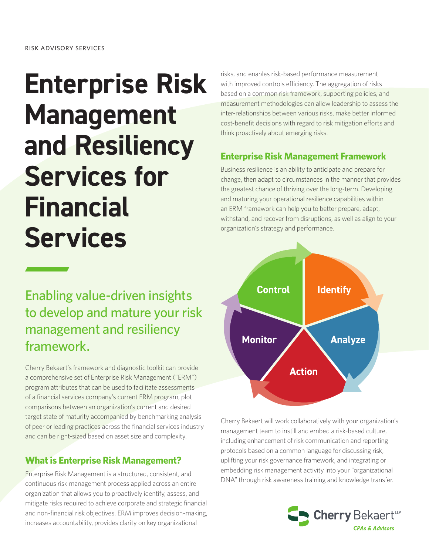# **Enterprise Risk Management and Resiliency Services for Financial Services**

## Enabling value-driven insights to develop and mature your risk management and resiliency framework.

Cherry Bekaert's framework and diagnostic toolkit can provide a comprehensive set of Enterprise Risk Management ("ERM") program attributes that can be used to facilitate assessments of a financial services company's current ERM program, plot comparisons between an organization's current and desired target state of maturity accompanied by benchmarking analysis of peer or leading practices across the financial services industry and can be right-sized based on asset size and complexity.

## **What is Enterprise Risk Management?**

Enterprise Risk Management is a structured, consistent, and continuous risk management process applied across an entire organization that allows you to proactively identify, assess, and mitigate risks required to achieve corporate and strategic financial and non-financial risk objectives. ERM improves decision-making, increases accountability, provides clarity on key organizational

risks, and enables risk-based performance measurement with improved controls efficiency. The aggregation of risks based on a common risk framework, supporting policies, and measurement methodologies can allow leadership to assess the inter-relationships between various risks, make better informed cost-benefit decisions with regard to risk mitigation efforts and think proactively about emerging risks.

## **Enterprise Risk Management Framework**

Business resilience is an ability to anticipate and prepare for change, then adapt to circumstances in the manner that provides the greatest chance of thriving over the long-term. Developing and maturing your operational resilience capabilities within an ERM framework can help you to better prepare, adapt, withstand, and recover from disruptions, as well as align to your organization's strategy and performance.



Cherry Bekaert will work collaboratively with your organization's management team to instill and embed a risk-based culture, including enhancement of risk communication and reporting protocols based on a common language for discussing risk, uplifting your risk governance framework, and integrating or embedding risk management activity into your "organizational DNA" through risk awareness training and knowledge transfer.